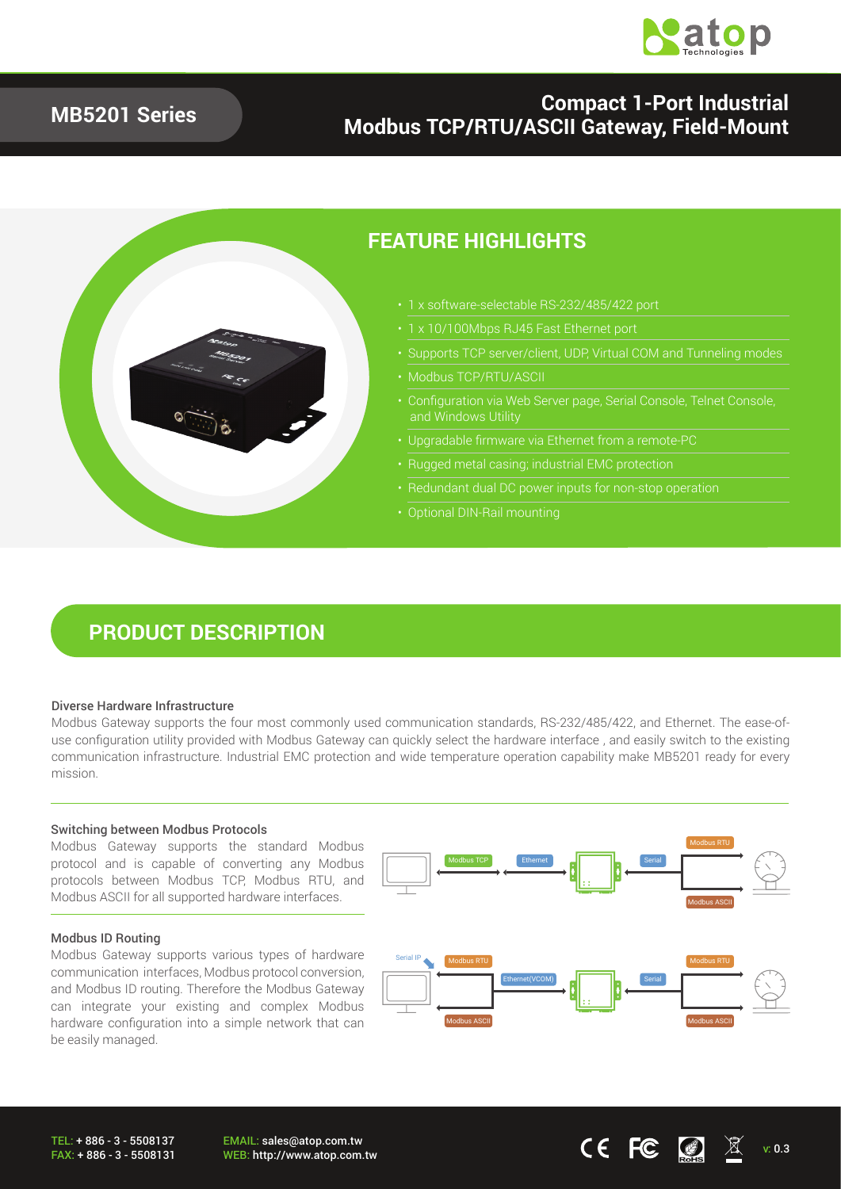

### **MB5201 Series**

## **Compact 1-Port Industrial Modbus TCP/RTU/ASCII Gateway, Field-Mount**



### **FEATURE HIGHLIGHTS**

- 1 x software-selectable RS-232/485/422 port
- 1 x 10/100Mbps RJ45 Fast Ethernet port
- Supports TCP server/client, UDP, Virtual COM and Tunneling modes
- Modbus TCP/RTU/ASCII
- 
- Upgradable firmware via Ethernet from a remote-PC
- Rugged metal casing; industrial EMC protection
- 
- 

## **PRODUCT DESCRIPTION**

#### Diverse Hardware Infrastructure

Modbus Gateway supports the four most commonly used communication standards, RS-232/485/422, and Ethernet. The ease-ofuse configuration utility provided with Modbus Gateway can quickly select the hardware interface , and easily switch to the existing communication infrastructure. Industrial EMC protection and wide temperature operation capability make MB5201 ready for every mission.

#### Switching between Modbus Protocols

Modbus Gateway supports the standard Modbus protocol and is capable of converting any Modbus protocols between Modbus TCP, Modbus RTU, and Modbus ASCII for all supported hardware interfaces.

#### Modbus ID Routing

Modbus Gateway supports various types of hardware communication interfaces, Modbus protocol conversion, and Modbus ID routing. Therefore the Modbus Gateway can integrate your existing and complex Modbus hardware configuration into a simple network that can be easily managed.



EMAIL: sales@atop.com.tw EMAIL: sales@atop.com.tw<br>WEB: http://www.atop.com.tw v: 0.3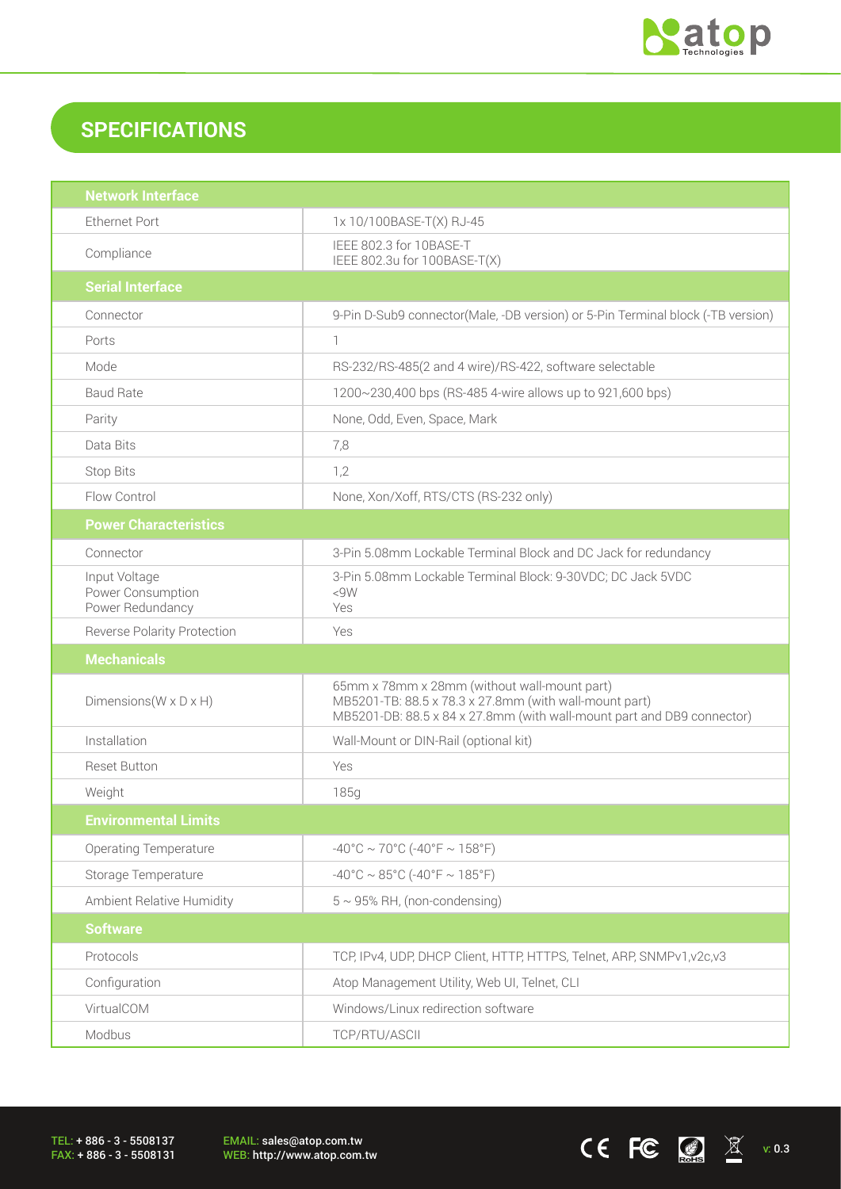

 $CE$  FC  $\boxed{3}$  X  $v.0.3$ 

# **SPECIFICATIONS**

| <b>Network Interface</b>                               |                                                                                                                                                                                  |  |
|--------------------------------------------------------|----------------------------------------------------------------------------------------------------------------------------------------------------------------------------------|--|
| <b>Ethernet Port</b>                                   | 1x 10/100BASE-T(X) RJ-45                                                                                                                                                         |  |
| Compliance                                             | IEEE 802.3 for 10BASE-T<br>IEEE 802.3u for 100BASE-T(X)                                                                                                                          |  |
| <b>Serial Interface</b>                                |                                                                                                                                                                                  |  |
| Connector                                              | 9-Pin D-Sub9 connector(Male, -DB version) or 5-Pin Terminal block (-TB version)                                                                                                  |  |
| Ports                                                  | $\mathbb{1}$                                                                                                                                                                     |  |
| Mode                                                   | RS-232/RS-485(2 and 4 wire)/RS-422, software selectable                                                                                                                          |  |
| <b>Baud Rate</b>                                       | 1200~230,400 bps (RS-485 4-wire allows up to 921,600 bps)                                                                                                                        |  |
| Parity                                                 | None, Odd, Even, Space, Mark                                                                                                                                                     |  |
| Data Bits                                              | 7,8                                                                                                                                                                              |  |
| <b>Stop Bits</b>                                       | 1,2                                                                                                                                                                              |  |
| Flow Control                                           | None, Xon/Xoff, RTS/CTS (RS-232 only)                                                                                                                                            |  |
| <b>Power Characteristics</b>                           |                                                                                                                                                                                  |  |
| Connector                                              | 3-Pin 5.08mm Lockable Terminal Block and DC Jack for redundancy                                                                                                                  |  |
| Input Voltage<br>Power Consumption<br>Power Redundancy | 3-Pin 5.08mm Lockable Terminal Block: 9-30VDC; DC Jack 5VDC<br>< 9W<br>Yes                                                                                                       |  |
| <b>Reverse Polarity Protection</b>                     | Yes                                                                                                                                                                              |  |
| <b>Mechanicals</b>                                     |                                                                                                                                                                                  |  |
| Dimensions ( $W \times D \times H$ )                   | 65mm x 78mm x 28mm (without wall-mount part)<br>MB5201-TB: 88.5 x 78.3 x 27.8mm (with wall-mount part)<br>MB5201-DB: 88.5 x 84 x 27.8mm (with wall-mount part and DB9 connector) |  |
| Installation                                           | Wall-Mount or DIN-Rail (optional kit)                                                                                                                                            |  |
| <b>Reset Button</b>                                    | Yes                                                                                                                                                                              |  |
| Weight                                                 | 185g                                                                                                                                                                             |  |
| <b>Environmental Limits</b>                            |                                                                                                                                                                                  |  |
| <b>Operating Temperature</b>                           | $-40^{\circ}$ C ~ 70°C (-40°F ~ 158°F)                                                                                                                                           |  |
| Storage Temperature                                    | $-40^{\circ}$ C ~ 85°C (-40°F ~ 185°F)                                                                                                                                           |  |
| Ambient Relative Humidity                              | $5 \sim 95\%$ RH, (non-condensing)                                                                                                                                               |  |
| <b>Software</b>                                        |                                                                                                                                                                                  |  |
| Protocols                                              | TCP, IPv4, UDP, DHCP Client, HTTP, HTTPS, Telnet, ARP, SNMPv1, v2c, v3                                                                                                           |  |
| Configuration                                          | Atop Management Utility, Web UI, Telnet, CLI                                                                                                                                     |  |
| VirtualCOM                                             | Windows/Linux redirection software                                                                                                                                               |  |
| Modbus                                                 | TCP/RTU/ASCII                                                                                                                                                                    |  |

TEL: + 886 - 3 - 5508137 FAX: + 886 - 3 - 5508131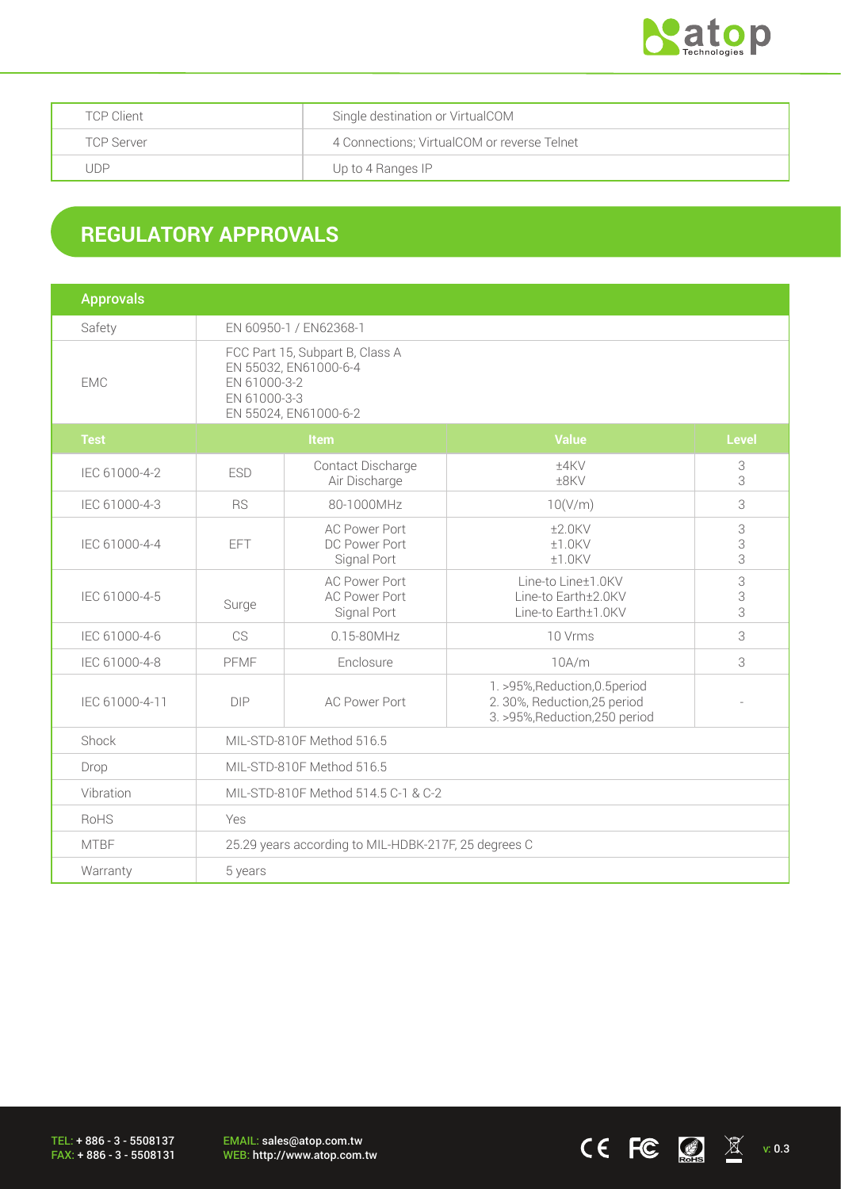

| <b>TCP Client</b> | Single destination or VirtualCOM            |
|-------------------|---------------------------------------------|
| TCP Server        | 4 Connections; VirtualCOM or reverse Telnet |
| JDP               | Up to 4 Ranges IP                           |

## **REGULATORY APPROVALS**

| <b>Approvals</b> |                                                                                                                   |                                                             |                                                                                                  |                                     |  |
|------------------|-------------------------------------------------------------------------------------------------------------------|-------------------------------------------------------------|--------------------------------------------------------------------------------------------------|-------------------------------------|--|
| Safety           | EN 60950-1 / EN62368-1                                                                                            |                                                             |                                                                                                  |                                     |  |
| <b>EMC</b>       | FCC Part 15, Subpart B, Class A<br>EN 55032, EN61000-6-4<br>EN 61000-3-2<br>EN 61000-3-3<br>EN 55024, EN61000-6-2 |                                                             |                                                                                                  |                                     |  |
| <b>Test</b>      | <b>Item</b>                                                                                                       |                                                             | <b>Value</b>                                                                                     | <b>Level</b>                        |  |
| IEC 61000-4-2    | <b>ESD</b>                                                                                                        | Contact Discharge<br>Air Discharge                          | ±4KV<br>±8KV                                                                                     | 3<br>3                              |  |
| IEC 61000-4-3    | <b>RS</b>                                                                                                         | 80-1000MHz                                                  | 10(V/m)                                                                                          | 3                                   |  |
| IEC 61000-4-4    | EFT                                                                                                               | <b>AC Power Port</b><br>DC Power Port<br>Signal Port        | $±2.0$ KV<br>±1.0KV<br>±1.0KV                                                                    | $\ensuremath{\mathsf{3}}$<br>3<br>3 |  |
| IEC 61000-4-5    | Surge                                                                                                             | <b>AC Power Port</b><br><b>AC Power Port</b><br>Signal Port | Line-to Line±1.0KV<br>Line-to Earth±2.0KV<br>Line-to Earth±1.0KV                                 | 3<br>3<br>3                         |  |
| IEC 61000-4-6    | CS                                                                                                                | 0.15-80MHz                                                  | 10 Vrms                                                                                          | 3                                   |  |
| IEC 61000-4-8    | PFMF                                                                                                              | Enclosure                                                   | 10A/m                                                                                            | 3                                   |  |
| IEC 61000-4-11   | <b>DIP</b>                                                                                                        | <b>AC Power Port</b>                                        | 1. >95%, Reduction, 0.5 period<br>2. 30%, Reduction, 25 period<br>3. >95%, Reduction, 250 period |                                     |  |
| Shock            | MIL-STD-810F Method 516.5                                                                                         |                                                             |                                                                                                  |                                     |  |
| Drop             | MIL-STD-810F Method 516.5                                                                                         |                                                             |                                                                                                  |                                     |  |
| Vibration        | MIL-STD-810F Method 514.5 C-1 & C-2                                                                               |                                                             |                                                                                                  |                                     |  |
| RoHS             | Yes                                                                                                               |                                                             |                                                                                                  |                                     |  |
| <b>MTBF</b>      | 25.29 years according to MIL-HDBK-217F, 25 degrees C                                                              |                                                             |                                                                                                  |                                     |  |
| Warranty         | 5 years                                                                                                           |                                                             |                                                                                                  |                                     |  |